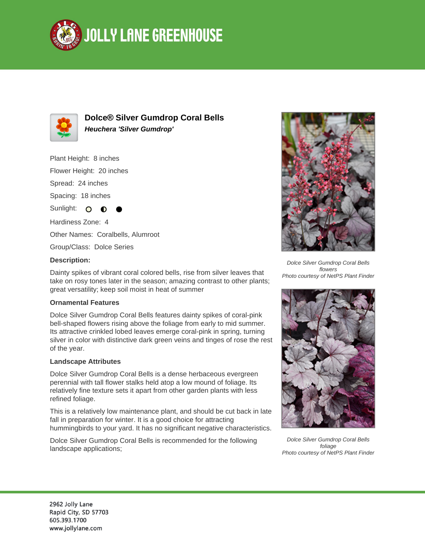



**Dolce® Silver Gumdrop Coral Bells Heuchera 'Silver Gumdrop'**

Plant Height: 8 inches

Flower Height: 20 inches

Spread: 24 inches

Spacing: 18 inches

Sunlight: O

Hardiness Zone: 4

Other Names: Coralbells, Alumroot

Group/Class: Dolce Series

## **Description:**

Dainty spikes of vibrant coral colored bells, rise from silver leaves that take on rosy tones later in the season; amazing contrast to other plants; great versatility; keep soil moist in heat of summer

## **Ornamental Features**

Dolce Silver Gumdrop Coral Bells features dainty spikes of coral-pink bell-shaped flowers rising above the foliage from early to mid summer. Its attractive crinkled lobed leaves emerge coral-pink in spring, turning silver in color with distinctive dark green veins and tinges of rose the rest of the year.

## **Landscape Attributes**

Dolce Silver Gumdrop Coral Bells is a dense herbaceous evergreen perennial with tall flower stalks held atop a low mound of foliage. Its relatively fine texture sets it apart from other garden plants with less refined foliage.

This is a relatively low maintenance plant, and should be cut back in late fall in preparation for winter. It is a good choice for attracting hummingbirds to your yard. It has no significant negative characteristics.

Dolce Silver Gumdrop Coral Bells is recommended for the following landscape applications;



Dolce Silver Gumdrop Coral Bells flowers Photo courtesy of NetPS Plant Finder



Dolce Silver Gumdrop Coral Bells foliage Photo courtesy of NetPS Plant Finder

2962 Jolly Lane Rapid City, SD 57703 605.393.1700 www.jollylane.com